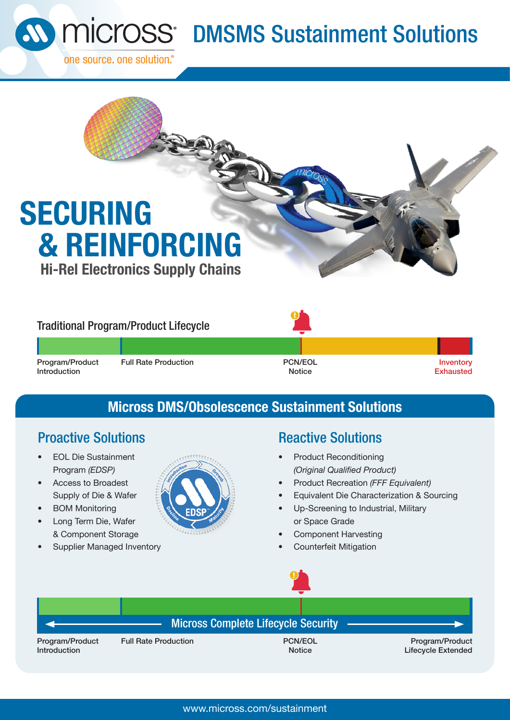

# **SOMSMS** Sustainment Solutions

## **SECURING & REINFORCING Hi-Rel Electronics Supply Chains**

## Traditional Program/Product Lifecycle

Program/Product Introduction

Full Rate Production **PCN/EOL** 



**Notice** 

Inventory **Exhausted** 

## **Micross DMS/Obsolescence Sustainment Solutions**

## **Proactive Solutions Reactive Solutions**

- EOL Die Sustainment Program *(EDSP)*
- Access to Broadest Supply of Die & Wafer
- **BOM Monitoring**
- Long Term Die, Wafer & Component Storage
- Supplier Managed Inventory



- Product Reconditioning *(Original Qualified Product)*
- Product Recreation *(FFF Equivalent)*
- Equivalent Die Characterization & Sourcing
- Up-Screening to Industrial, Military or Space Grade
- Component Harvesting
- Counterfeit Mitigation



## Micross Complete Lifecycle Security

Program/Product Introduction

Full Rate Production **PCN/EOL** 

**Notice** 

Program/Product Lifecycle Extended